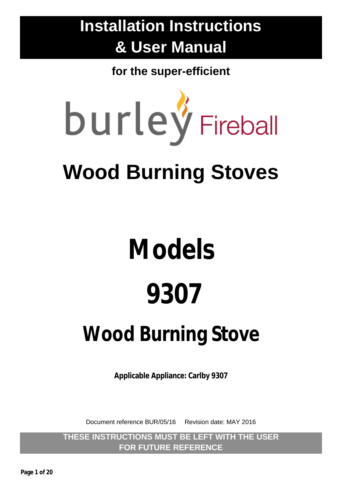# **Installation Instructions & User Manual**

**for the super-efficient**

# burley Fireball

# **Wood Burning Stoves**

# **Models 9307 Wood Burning Stove**

**Applicable Appliance: Carlby 9307**

Document reference BUR/05/16 Revision date: MAY 2016

**THESE INSTRUCTIONS MUST BE LEFT WITH THE USER FOR FUTURE REFERENCE** 

**Page 1 of 20**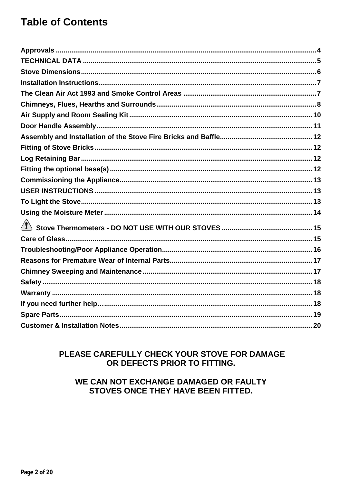# **Table of Contents**

| $\overbrace{.}^{\bullet\bullet\bullet}$ Stove Thermometers - DO NOT USE WITH OUR STOVES …………………………………………………………………………………………… |  |
|-----------------------------------------------------------------------------------------------------------------------------|--|
|                                                                                                                             |  |
|                                                                                                                             |  |
|                                                                                                                             |  |
|                                                                                                                             |  |
|                                                                                                                             |  |
|                                                                                                                             |  |
|                                                                                                                             |  |
|                                                                                                                             |  |
|                                                                                                                             |  |

PLEASE CAREFULLY CHECK YOUR STOVE FOR DAMAGE OR DEFECTS PRIOR TO FITTING.

#### WE CAN NOT EXCHANGE DAMAGED OR FAULTY STOVES ONCE THEY HAVE BEEN FITTED.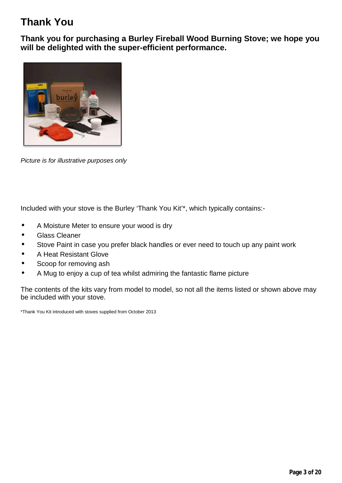# **Thank You**

**Thank you for purchasing a Burley Fireball Wood Burning Stove; we hope you will be delighted with the super-efficient performance.**



*Picture is for illustrative purposes only*

Included with your stove is the Burley 'Thank You Kit'\*, which typically contains:-

- A Moisture Meter to ensure your wood is dry
- Glass Cleaner
- Stove Paint in case you prefer black handles or ever need to touch up any paint work
- A Heat Resistant Glove
- Scoop for removing ash
- A Mug to enjoy a cup of tea whilst admiring the fantastic flame picture

The contents of the kits vary from model to model, so not all the items listed or shown above may be included with your stove.

\*Thank You Kit introduced with stoves supplied from October 2013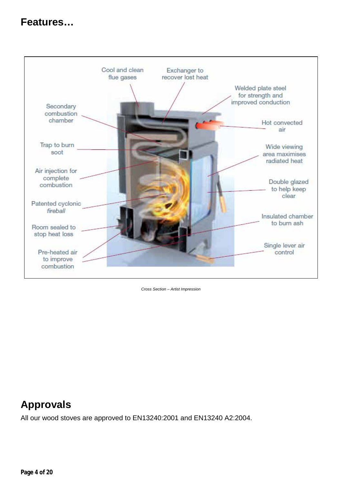# **Features…**



*Cross Section – Artist Impression*

# <span id="page-3-0"></span>**Approvals**

All our wood stoves are approved to EN13240:2001 and EN13240 A2:2004.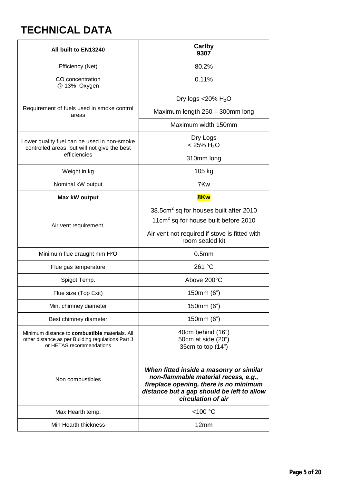# <span id="page-4-0"></span>**TECHNICAL DATA**

| All built to EN13240                                                                                                                   | Carlby<br>9307                                                                                                                                                                                |  |  |
|----------------------------------------------------------------------------------------------------------------------------------------|-----------------------------------------------------------------------------------------------------------------------------------------------------------------------------------------------|--|--|
| Efficiency (Net)                                                                                                                       | 80.2%                                                                                                                                                                                         |  |  |
| CO concentration<br>@ 13% Oxygen                                                                                                       | 0.11%                                                                                                                                                                                         |  |  |
|                                                                                                                                        | Dry logs $<$ 20% H <sub>2</sub> O                                                                                                                                                             |  |  |
| Requirement of fuels used in smoke control<br>areas                                                                                    | Maximum length 250 - 300mm long                                                                                                                                                               |  |  |
|                                                                                                                                        | Maximum width 150mm                                                                                                                                                                           |  |  |
| Lower quality fuel can be used in non-smoke<br>controlled areas, but will not give the best                                            | Dry Logs<br>$< 25\% H_2O$                                                                                                                                                                     |  |  |
| efficiencies                                                                                                                           | 310mm long                                                                                                                                                                                    |  |  |
| Weight in kg                                                                                                                           | 105 kg                                                                                                                                                                                        |  |  |
| Nominal kW output                                                                                                                      | 7Kw                                                                                                                                                                                           |  |  |
| Max kW output                                                                                                                          | 8Kw                                                                                                                                                                                           |  |  |
| Air vent requirement.                                                                                                                  | 38.5cm <sup>2</sup> sq for houses built after 2010<br>11cm <sup>2</sup> sq for house built before 2010                                                                                        |  |  |
|                                                                                                                                        | Air vent not required if stove is fitted with<br>room sealed kit                                                                                                                              |  |  |
| Minimum flue draught mm H <sup>2</sup> O                                                                                               | 0.5 <sub>mm</sub>                                                                                                                                                                             |  |  |
| Flue gas temperature                                                                                                                   | 261 °C                                                                                                                                                                                        |  |  |
| Spigot Temp.                                                                                                                           | Above 200°C                                                                                                                                                                                   |  |  |
| Flue size (Top Exit)                                                                                                                   | 150mm (6")                                                                                                                                                                                    |  |  |
| Min. chimney diameter                                                                                                                  | 150mm (6")                                                                                                                                                                                    |  |  |
| Best chimney diameter                                                                                                                  | 150mm (6")                                                                                                                                                                                    |  |  |
| Minimum distance to <b>combustible</b> materials. All<br>other distance as per Building regulations Part J<br>or HETAS recommendations | 40cm behind (16")<br>50cm at side (20")<br>35cm to top (14")                                                                                                                                  |  |  |
| Non combustibles                                                                                                                       | When fitted inside a masonry or similar<br>non-flammable material recess, e.g.,<br>fireplace opening, there is no minimum<br>distance but a gap should be left to allow<br>circulation of air |  |  |
| Max Hearth temp.                                                                                                                       | $<$ 100 $^{\circ}$ C                                                                                                                                                                          |  |  |
| Min Hearth thickness                                                                                                                   | 12mm                                                                                                                                                                                          |  |  |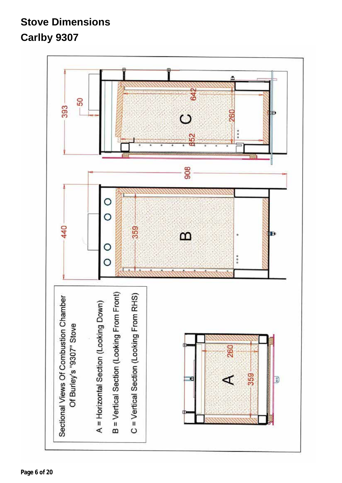# <span id="page-5-0"></span>**Stove Dimensions Carlby 9307**

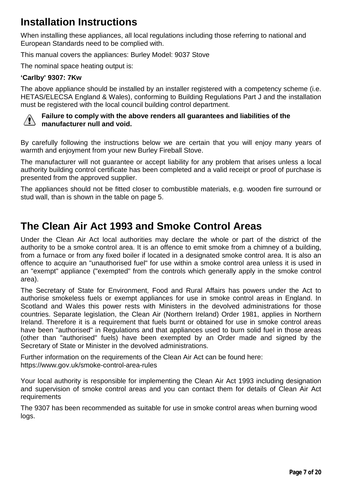# <span id="page-6-0"></span>**Installation Instructions**

When installing these appliances, all local regulations including those referring to national and European Standards need to be complied with.

This manual covers the appliances: Burley Model: 9037 Stove

The nominal space heating output is:

#### **'Carlby' 9307: 7Kw**

The above appliance should be installed by an installer registered with a competency scheme (i.e. HETAS/ELECSA England & Wales), conforming to Building Regulations Part J and the installation must be registered with the local council building control department.



#### **Failure to comply with the above renders all guarantees and liabilities of the 1** manufacturer null and void.

By carefully following the instructions below we are certain that you will enjoy many years of warmth and enjoyment from your new Burley Fireball Stove.

The manufacturer will not guarantee or accept liability for any problem that arises unless a local authority building control certificate has been completed and a valid receipt or proof of purchase is presented from the approved supplier.

The appliances should not be fitted closer to combustible materials, e.g. wooden fire surround or stud wall, than is shown in the table on page 5.

# <span id="page-6-1"></span>**The Clean Air Act 1993 and Smoke Control Areas**

Under the Clean Air Act local authorities may declare the whole or part of the district of the authority to be a smoke control area. It is an offence to emit smoke from a chimney of a building, from a furnace or from any fixed boiler if located in a designated smoke control area. It is also an offence to acquire an "unauthorised fuel" for use within a smoke control area unless it is used in an "exempt" appliance ("exempted" from the controls which generally apply in the smoke control area).

The Secretary of State for Environment, Food and Rural Affairs has powers under the Act to authorise smokeless fuels or exempt appliances for use in smoke control areas in England. In Scotland and Wales this power rests with Ministers in the devolved administrations for those countries. Separate legislation, the Clean Air (Northern Ireland) Order 1981, applies in Northern Ireland. Therefore it is a requirement that fuels burnt or obtained for use in smoke control areas have been "authorised" in Regulations and that appliances used to burn solid fuel in those areas (other than "authorised" fuels) have been exempted by an Order made and signed by the Secretary of State or Minister in the devolved administrations.

Further information on the requirements of the Clean Air Act can be found here: <https://www.gov.uk/smoke-control-area-rules>

Your local authority is responsible for implementing the Clean Air Act 1993 including designation and supervision of smoke control areas and you can contact them for details of Clean Air Act requirements

The 9307 has been recommended as suitable for use in smoke control areas when burning wood logs.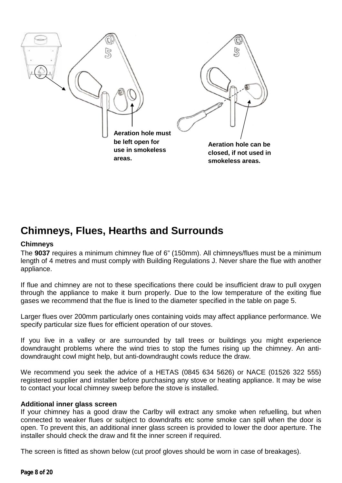

# <span id="page-7-0"></span>**Chimneys, Flues, Hearths and Surrounds**

#### **Chimneys**

The **9037** requires a minimum chimney flue of 6" (150mm). All chimneys/flues must be a minimum length of 4 metres and must comply with Building Regulations J. Never share the flue with another appliance.

If flue and chimney are not to these specifications there could be insufficient draw to pull oxygen through the appliance to make it burn properly. Due to the low temperature of the exiting flue gases we recommend that the flue is lined to the diameter specified in the table on page 5.

Larger flues over 200mm particularly ones containing voids may affect appliance performance. We specify particular size flues for efficient operation of our stoves.

If you live in a valley or are surrounded by tall trees or buildings you might experience downdraught problems where the wind tries to stop the fumes rising up the chimney. An antidowndraught cowl might help, but anti-downdraught cowls reduce the draw.

We recommend you seek the advice of a HETAS (0845 634 5626) or NACE (01526 322 555) registered supplier and installer before purchasing any stove or heating appliance. It may be wise to contact your local chimney sweep before the stove is installed.

#### **Additional inner glass screen**

If your chimney has a good draw the Carlby will extract any smoke when refuelling, but when connected to weaker flues or subject to downdrafts etc some smoke can spill when the door is open. To prevent this, an additional inner glass screen is provided to lower the door aperture. The installer should check the draw and fit the inner screen if required.

The screen is fitted as shown below (cut proof gloves should be worn in case of breakages).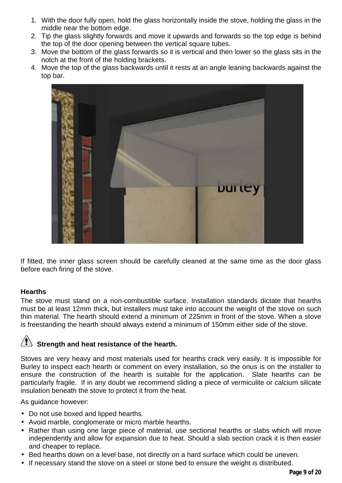- 1. With the door fully open, hold the glass horizontally inside the stove, holding the glass in the middle near the bottom edge.
- 2. Tip the glass slightly forwards and move it upwards and forwards so the top edge is behind the top of the door opening between the vertical square tubes.
- 3. Move the bottom of the glass forwards so it is vertical and then lower so the glass sits in the notch at the front of the holding brackets.
- 4. Move the top of the glass backwards until it rests at an angle leaning backwards against the top bar.



If fitted, the inner glass screen should be carefully cleaned at the same time as the door glass before each firing of the stove.

#### **Hearths**

The stove must stand on a non-combustible surface. Installation standards dictate that hearths must be at least 12mm thick, but installers must take into account the weight of the stove on such thin material. The hearth should extend a minimum of 225mm in front of the stove. When a stove is freestanding the hearth should always extend a minimum of 150mm either side of the stove.

# $\langle \mathbf{P} \rangle$  Strength and heat resistance of the hearth.

Stoves are very heavy and most materials used for hearths crack very easily. It is impossible for Burley to inspect each hearth or comment on every installation, so the onus is on the installer to ensure the construction of the hearth is suitable for the application. Slate hearths can be particularly fragile. If in any doubt we recommend sliding a piece of vermiculite or calcium silicate insulation beneath the stove to protect it from the heat.

As guidance however:

- Do not use boxed and lipped hearths.
- Avoid marble, conglomerate or micro marble hearths.
- Rather than using one large piece of material, use sectional hearths or slabs which will move independently and allow for expansion due to heat. Should a slab section crack it is then easier and cheaper to replace.
- Bed hearths down on a level base, not directly on a hard surface which could be uneven.
- If necessary stand the stove on a steel or stone bed to ensure the weight is distributed.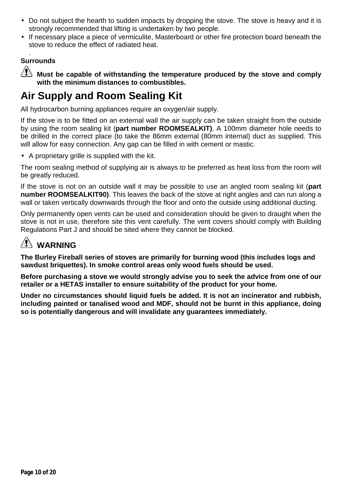- $\blacksquare$ Do not subject the hearth to sudden impacts by dropping the stove. The stove is heavy and it is strongly recommended that lifting is undertaken by two people.
- If necessary place a piece of vermiculite, Masterboard or other fire protection board beneath the stove to reduce the effect of radiated heat.

#### . **Surrounds**

**Must be capable of withstanding the temperature produced by the stove and comply with the minimum distances to combustibles.**

# <span id="page-9-0"></span>**Air Supply and Room Sealing Kit**

All hydrocarbon burning appliances require an oxygen/air supply.

If the stove is to be fitted on an external wall the air supply can be taken straight from the outside by using the room sealing kit (**part number ROOMSEALKIT)**. A 100mm diameter hole needs to be drilled in the correct place (to take the 86mm external (80mm internal) duct as supplied. This will allow for easy connection. Any gap can be filled in with cement or mastic.

A proprietary grille is supplied with the kit.

The room sealing method of supplying air is always to be preferred as heat loss from the room will be greatly reduced.

If the stove is not on an outside wall it may be possible to use an angled room sealing kit (**part number ROOMSEALKIT90)**. This leaves the back of the stove at right angles and can run along a wall or taken vertically downwards through the floor and onto the outside using additional ducting.

Only permanently open vents can be used and consideration should be given to draught when the stove is not in use, therefore site this vent carefully. The vent covers should comply with Building Regulations Part J and should be sited where they cannot be blocked.

#### $/\P$ **WARNING**

**The Burley Fireball series of stoves are primarily for burning wood (this includes logs and sawdust briquettes). In smoke control areas only wood fuels should be used.** 

**Before purchasing a stove we would strongly advise you to seek the advice from one of our retailer or a HETAS installer to ensure suitability of the product for your home.**

<span id="page-9-1"></span>**Under no circumstances should liquid fuels be added. It is not an incinerator and rubbish, including painted or tanalised wood and MDF, should not be burnt in this appliance, doing so is potentially dangerous and will invalidate any guarantees immediately.**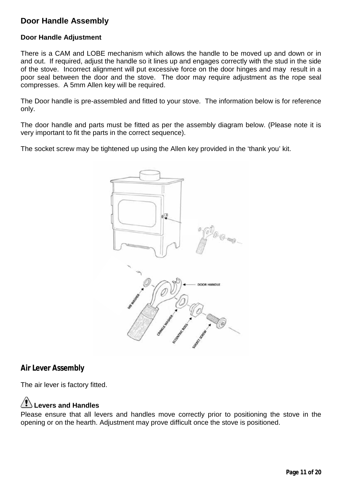#### **Door Handle Assembly**

#### **Door Handle Adjustment**

There is a CAM and LOBE mechanism which allows the handle to be moved up and down or in and out. If required, adjust the handle so it lines up and engages correctly with the stud in the side of the stove. Incorrect alignment will put excessive force on the door hinges and may result in a poor seal between the door and the stove. The door may require adjustment as the rope seal compresses. A 5mm Allen key will be required.

The Door handle is pre-assembled and fitted to your stove. The information below is for reference only.

The door handle and parts must be fitted as per the assembly diagram below. (Please note it is very important to fit the parts in the correct sequence).

The socket screw may be tightened up using the Allen key provided in the 'thank you' kit.



#### **Air Lever Assembly**

The air lever is factory fitted.

# **Levers and Handles**

Please ensure that all levers and handles move correctly prior to positioning the stove in the opening or on the hearth. Adjustment may prove difficult once the stove is positioned.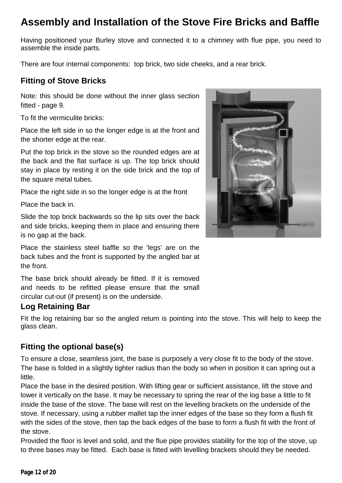# <span id="page-11-0"></span>**Assembly and Installation of the Stove Fire Bricks and Baffle**

Having positioned your Burley stove and connected it to a chimney with flue pipe, you need to assemble the inside parts.

There are four internal components: top brick, two side cheeks, and a rear brick.

#### <span id="page-11-1"></span>**Fitting of Stove Bricks**

Note: this should be done without the inner glass section fitted - page 9.

To fit the vermiculite bricks:

Place the left side in so the longer edge is at the front and the shorter edge at the rear.

Put the top brick in the stove so the rounded edges are at the back and the flat surface is up. The top brick should stay in place by resting it on the side brick and the top of the square metal tubes.

Place the right side in so the longer edge is at the front

Place the back in.

Slide the top brick backwards so the lip sits over the back and side bricks, keeping them in place and ensuring there is no gap at the back.

Place the stainless steel baffle so the 'legs' are on the back tubes and the front is supported by the angled bar at the front.

The base brick should already be fitted. If it is removed and needs to be refitted please ensure that the small circular cut-out (if present) is on the underside.

#### <span id="page-11-2"></span>**Log Retaining Bar**

Fit the log retaining bar so the angled return is pointing into the stove. This will help to keep the glass clean.

#### <span id="page-11-3"></span>**Fitting the optional base(s)**

To ensure a close, seamless joint, the base is purposely a very close fit to the body of the stove. The base is folded in a slightly tighter radius than the body so when in position it can spring out a little.

Place the base in the desired position. With lifting gear or sufficient assistance, lift the stove and lower it vertically on the base. It may be necessary to spring the rear of the log base a little to fit inside the base of the stove. The base will rest on the levelling brackets on the underside of the stove. If necessary, using a rubber mallet tap the inner edges of the base so they form a flush fit with the sides of the stove, then tap the back edges of the base to form a flush fit with the front of the stove.

Provided the floor is level and solid, and the flue pipe provides stability for the top of the stove, up to three bases may be fitted. Each base is fitted with levelling brackets should they be needed.

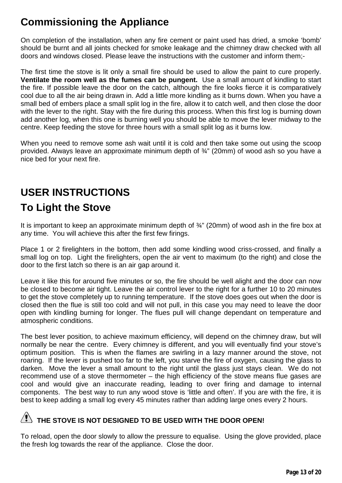# <span id="page-12-0"></span>**Commissioning the Appliance**

On completion of the installation, when any fire cement or paint used has dried, a smoke 'bomb' should be burnt and all joints checked for smoke leakage and the chimney draw checked with all doors and windows closed. Please leave the instructions with the customer and inform them;-

The first time the stove is lit only a small fire should be used to allow the paint to cure properly. **Ventilate the room well as the fumes can be pungent.** Use a small amount of kindling to start the fire. If possible leave the door on the catch, although the fire looks fierce it is comparatively cool due to all the air being drawn in. Add a little more kindling as it burns down. When you have a small bed of embers place a small split log in the fire, allow it to catch well, and then close the door with the lever to the right. Stay with the fire during this process. When this first log is burning down add another log, when this one is burning well you should be able to move the lever midway to the centre. Keep feeding the stove for three hours with a small split log as it burns low.

When you need to remove some ash wait until it is cold and then take some out using the scoop provided. Always leave an approximate minimum depth of ¾" (20mm) of wood ash so you have a nice bed for your next fire.

# <span id="page-12-2"></span><span id="page-12-1"></span>**USER INSTRUCTIONS To Light the Stove**

It is important to keep an approximate minimum depth of ¾" (20mm) of wood ash in the fire box at any time. You will achieve this after the first few firings.

Place 1 or 2 firelighters in the bottom, then add some kindling wood criss-crossed, and finally a small log on top. Light the firelighters, open the air vent to maximum (to the right) and close the door to the first latch so there is an air gap around it.

Leave it like this for around five minutes or so, the fire should be well alight and the door can now be closed to become air tight. Leave the air control lever to the right for a further 10 to 20 minutes to get the stove completely up to running temperature. If the stove does goes out when the door is closed then the flue is still too cold and will not pull, in this case you may need to leave the door open with kindling burning for longer. The flues pull will change dependant on temperature and atmospheric conditions.

The best lever position, to achieve maximum efficiency, will depend on the chimney draw, but will normally be near the centre. Every chimney is different, and you will eventually find your stove's optimum position. This is when the flames are swirling in a lazy manner around the stove, not roaring. If the lever is pushed too far to the left, you starve the fire of oxygen, causing the glass to darken. Move the lever a small amount to the right until the glass just stays clean. We do not recommend use of a stove thermometer – the high efficiency of the stove means flue gases are cool and would give an inaccurate reading, leading to over firing and damage to internal components. The best way to run any wood stove is 'little and often'. If you are with the fire, it is best to keep adding a small log every 45 minutes rather than adding large ones every 2 hours.

# $\langle \mathbf{f} \rangle$  the stove is not designed to be used with the door open!

To reload, open the door slowly to allow the pressure to equalise. Using the glove provided, place the fresh log towards the rear of the appliance. Close the door.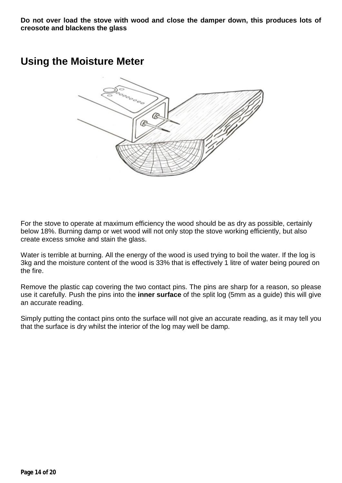**Do not over load the stove with wood and close the damper down, this produces lots of creosote and blackens the glass** 

### <span id="page-13-0"></span>**Using the Moisture Meter**



For the stove to operate at maximum efficiency the wood should be as dry as possible, certainly below 18%. Burning damp or wet wood will not only stop the stove working efficiently, but also create excess smoke and stain the glass.

Water is terrible at burning. All the energy of the wood is used trying to boil the water. If the log is 3kg and the moisture content of the wood is 33% that is effectively 1 litre of water being poured on the fire.

Remove the plastic cap covering the two contact pins. The pins are sharp for a reason, so please use it carefully*.* Push the pins into the **inner surface** of the split log (5mm as a guide) this will give an accurate reading.

Simply putting the contact pins onto the surface will not give an accurate reading, as it may tell you that the surface is dry whilst the interior of the log may well be damp.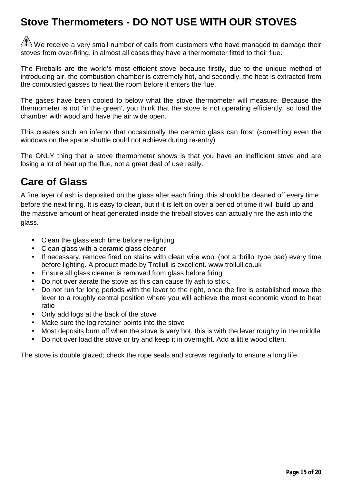# <span id="page-14-0"></span>**Stove Thermometers - DO NOT USE WITH OUR STOVES**

 $\langle \mathbf{P} \rangle$  We receive a very small number of calls from customers who have managed to damage their stoves from over-firing, in almost all cases they have a thermometer fitted to their flue.

The Fireballs are the world's most efficient stove because firstly, due to the unique method of introducing air, the combustion chamber is extremely hot, and secondly, the heat is extracted from the combusted gasses to heat the room before it enters the flue.

The gases have been cooled to below what the stove thermometer will measure. Because the thermometer is not 'in the green', you think that the stove is not operating efficiently, so load the chamber with wood and have the air wide open.

This creates such an inferno that occasionally the ceramic glass can frost (something even the windows on the space shuttle could not achieve during re-entry)

The ONLY thing that a stove thermometer shows is that you have an inefficient stove and are losing a lot of heat up the flue, not a great deal of use really.

# <span id="page-14-1"></span>**Care of Glass**

A fine layer of ash is deposited on the glass after each firing, this should be cleaned off every time before the next firing. It is easy to clean, but if it is left on over a period of time it will build up and the massive amount of heat generated inside the fireball stoves can actually fire the ash into the glass.

- Clean the glass each time before re-lighting
- Clean glass with a ceramic glass cleaner  $\mathbf{r}$
- If necessary, remove fired on stains with clean wire wool (not a 'brillo' type pad) every time before lighting. A product made by Trollull is excellent. www.trollull.co.uk
- Ensure all glass cleaner is removed from glass before firing
- Do not over aerate the stove as this can cause fly ash to stick.
- Do not run for long periods with the lever to the right, once the fire is established move the lever to a roughly central position where you will achieve the most economic wood to heat ratio
- Only add logs at the back of the stove
- Make sure the log retainer points into the stove
- Most deposits burn off when the stove is very hot, this is with the lever roughly in the middle
- Do not over load the stove or try and keep it in overnight. Add a little wood often.

The stove is double glazed; check the rope seals and screws regularly to ensure a long life.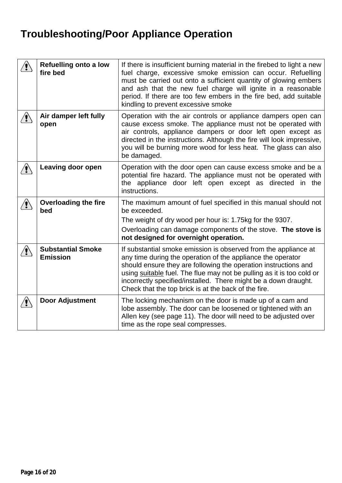# <span id="page-15-0"></span>**Troubleshooting/Poor Appliance Operation**

|                                | <b>Refuelling onto a low</b><br>fire bed    | If there is insufficient burning material in the firebed to light a new<br>fuel charge, excessive smoke emission can occur. Refuelling<br>must be carried out onto a sufficient quantity of glowing embers<br>and ash that the new fuel charge will ignite in a reasonable<br>period. If there are too few embers in the fire bed, add suitable<br>kindling to prevent excessive smoke                |
|--------------------------------|---------------------------------------------|-------------------------------------------------------------------------------------------------------------------------------------------------------------------------------------------------------------------------------------------------------------------------------------------------------------------------------------------------------------------------------------------------------|
|                                | Air damper left fully<br>open               | Operation with the air controls or appliance dampers open can<br>cause excess smoke. The appliance must not be operated with<br>air controls, appliance dampers or door left open except as<br>directed in the instructions. Although the fire will look impressive,<br>you will be burning more wood for less heat. The glass can also<br>be damaged.                                                |
| $\hat{\mathbf{S}}$             | Leaving door open                           | Operation with the door open can cause excess smoke and be a<br>potential fire hazard. The appliance must not be operated with<br>the appliance door left open except as directed<br>in the<br>instructions.                                                                                                                                                                                          |
|                                | <b>Overloading the fire</b><br>bed          | The maximum amount of fuel specified in this manual should not<br>be exceeded.<br>The weight of dry wood per hour is: 1.75kg for the 9307.<br>Overloading can damage components of the stove. The stove is<br>not designed for overnight operation.                                                                                                                                                   |
|                                | <b>Substantial Smoke</b><br><b>Emission</b> | If substantial smoke emission is observed from the appliance at<br>any time during the operation of the appliance the operator<br>should ensure they are following the operation instructions and<br>using suitable fuel. The flue may not be pulling as it is too cold or<br>incorrectly specified/installed. There might be a down draught.<br>Check that the top brick is at the back of the fire. |
| $\langle \hat{\bm{i}} \rangle$ | <b>Door Adjustment</b>                      | The locking mechanism on the door is made up of a cam and<br>lobe assembly. The door can be loosened or tightened with an<br>Allen key (see page 11). The door will need to be adjusted over<br>time as the rope seal compresses.                                                                                                                                                                     |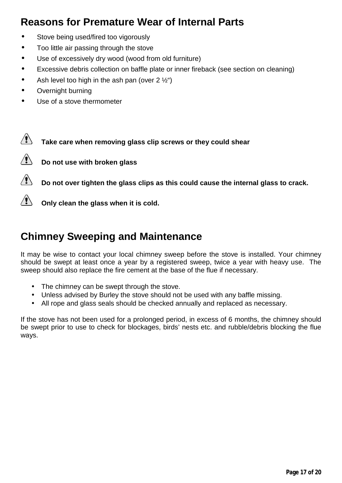# <span id="page-16-0"></span>**Reasons for Premature Wear of Internal Parts**

- Stove being used/fired too vigorously
- Too little air passing through the stove  $\blacksquare$
- Use of excessively dry wood (wood from old furniture)
- Excessive debris collection on baffle plate or inner fireback (see section on cleaning)
- Ash level too high in the ash pan (over  $2\frac{1}{2}$ ")
- Overnight burning
- Use of a stove thermometer  $\blacksquare$

 $\Delta$ **Take care when removing glass clip screws or they could shear**



**Do not over tighten the glass clips as this could cause the internal glass to crack.**



**Only clean the glass when it is cold.**

# <span id="page-16-1"></span>**Chimney Sweeping and Maintenance**

It may be wise to contact your local chimney sweep before the stove is installed. Your chimney should be swept at least once a year by a registered sweep, twice a year with heavy use. The sweep should also replace the fire cement at the base of the flue if necessary.

- The chimney can be swept through the stove.
- Unless advised by Burley the stove should not be used with any baffle missing.
- All rope and glass seals should be checked annually and replaced as necessary.

If the stove has not been used for a prolonged period, in excess of 6 months, the chimney should be swept prior to use to check for blockages, birds' nests etc. and rubble/debris blocking the flue ways.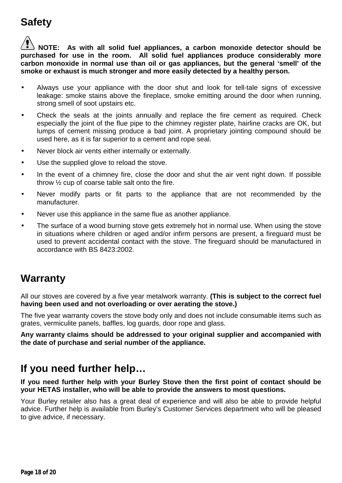# <span id="page-17-0"></span>**Safety**

**NOTE: As with all solid fuel appliances, a carbon monoxide detector should be purchased for use in the room. All solid fuel appliances produce considerably more carbon monoxide in normal use than oil or gas appliances, but the general 'smell' of the smoke or exhaust is much stronger and more easily detected by a healthy person.** 

- Always use your appliance with the door shut and look for tell-tale signs of excessive leakage: smoke stains above the fireplace, smoke emitting around the door when running, strong smell of soot upstairs etc.
- Check the seals at the joints annually and replace the fire cement as required. Check especially the joint of the flue pipe to the chimney register plate, hairline cracks are OK, but lumps of cement missing produce a bad joint. A proprietary jointing compound should be used here, as it is far superior to a cement and rope seal.
- Never block air vents either internally or externally.
- Use the supplied glove to reload the stove.
- In the event of a chimney fire, close the door and shut the air vent right down. If possible throw ½ cup of coarse table salt onto the fire.
- Never modify parts or fit parts to the appliance that are not recommended by the manufacturer.
- Never use this appliance in the same flue as another appliance.
- The surface of a wood burning stove gets extremely hot in normal use. When using the stove in situations where children or aged and/or infirm persons are present, a fireguard must be used to prevent accidental contact with the stove. The fireguard should be manufactured in accordance with BS 8423:2002.

# <span id="page-17-1"></span>**Warranty**

All our stoves are covered by a five year metalwork warranty. **(This is subject to the correct fuel having been used and not overloading or over aerating the stove.)**

The five year warranty covers the stove body only and does not include consumable items such as grates, [vermiculite](http://www.acrheatproducts.co.uk/benefit/vermiculite) panels, baffles, log guards, door rope and glass.

**Any warranty claims should be addressed to your original supplier and accompanied with the date of purchase and serial number of the appliance.**

# <span id="page-17-2"></span>**If you need further help…**

**If you need further help with your Burley Stove then the first point of contact should be your HETAS installer, who will be able to provide the answers to most questions.** 

Your Burley retailer also has a great deal of experience and will also be able to provide helpful advice. Further help is available from Burley's Customer Services department who will be pleased to give advice, if necessary.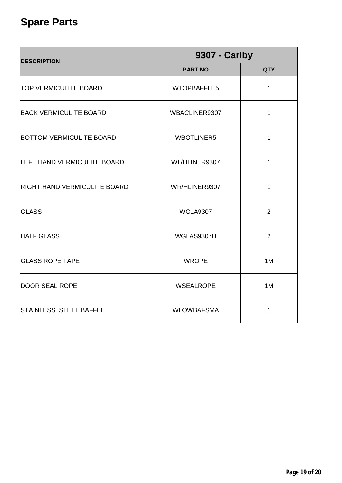# <span id="page-18-0"></span>**Spare Parts**

| <b>DESCRIPTION</b>                  | 9307 - Carlby     |              |  |
|-------------------------------------|-------------------|--------------|--|
|                                     | <b>PART NO</b>    | <b>QTY</b>   |  |
| <b>TOP VERMICULITE BOARD</b>        | WTOPBAFFLE5       | 1            |  |
| <b>BACK VERMICULITE BOARD</b>       | WBACLINER9307     | $\mathbf{1}$ |  |
| <b>BOTTOM VERMICULITE BOARD</b>     | <b>WBOTLINER5</b> | 1            |  |
| LEFT HAND VERMICULITE BOARD         | WL/HLINER9307     | 1            |  |
| <b>RIGHT HAND VERMICULITE BOARD</b> | WR/HLINER9307     | 1            |  |
| <b>GLASS</b>                        | <b>WGLA9307</b>   | 2            |  |
| <b>HALF GLASS</b>                   | WGLAS9307H        | 2            |  |
| <b>GLASS ROPE TAPE</b>              | <b>WROPE</b>      | 1M           |  |
| <b>DOOR SEAL ROPE</b>               | <b>WSEALROPE</b>  | 1M           |  |
| <b>STAINLESS STEEL BAFFLE</b>       | <b>WLOWBAFSMA</b> | 1            |  |